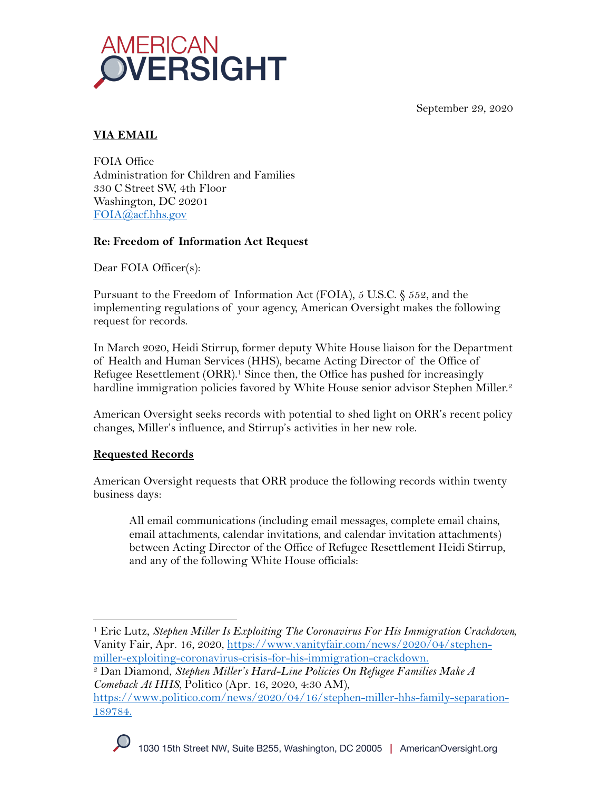September 29, 2020



# **VIA EMAIL**

FOIA Office Administration for Children and Families 330 C Street SW, 4th Floor Washington, DC 20201 FOIA@acf.hhs.gov

### **Re: Freedom of Information Act Request**

Dear FOIA Officer(s):

Pursuant to the Freedom of Information Act (FOIA), 5 U.S.C. § 552, and the implementing regulations of your agency, American Oversight makes the following request for records.

In March 2020, Heidi Stirrup, former deputy White House liaison for the Department of Health and Human Services (HHS), became Acting Director of the Office of Refugee Resettlement (ORR). <sup>1</sup> Since then, the Office has pushed for increasingly hardline immigration policies favored by White House senior advisor Stephen Miller.<sup>2</sup>

American Oversight seeks records with potential to shed light on ORR's recent policy changes, Miller's influence, and Stirrup's activities in her new role.

## **Requested Records**

American Oversight requests that ORR produce the following records within twenty business days:

All email communications (including email messages, complete email chains, email attachments, calendar invitations, and calendar invitation attachments) between Acting Director of the Office of Refugee Resettlement Heidi Stirrup, and any of the following White House officials:



<sup>1</sup> Eric Lutz, *Stephen Miller Is Exploiting The Coronavirus For His Immigration Crackdown,*  Vanity Fair, Apr. 16, 2020, https://www.vanityfair.com/news/2020/04/stephenmiller-exploiting-coronavirus-crisis-for-his-immigration-crackdown.

<sup>2</sup> Dan Diamond, *Stephen Miller's Hard-Line Policies On Refugee Families Make A Comeback At HHS,* Politico (Apr. 16, 2020, 4:30 AM),

https://www.politico.com/news/2020/04/16/stephen-miller-hhs-family-separation-189784.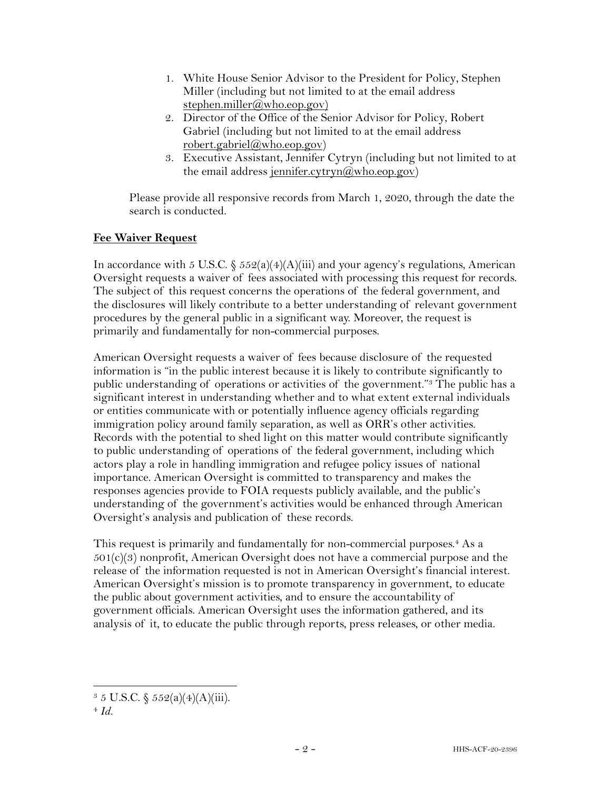- 1. White House Senior Advisor to the President for Policy, Stephen Miller (including but not limited to at the email address stephen.miller@who.eop.gov)
- 2. Director of the Office of the Senior Advisor for Policy, Robert Gabriel (including but not limited to at the email address robert.gabriel@who.eop.gov)
- 3. Executive Assistant, Jennifer Cytryn (including but not limited to at the email address jennifer.cytryn $(\partial_x w \cdot h \cdot o \cdot \partial_y)$

Please provide all responsive records from March 1, 2020, through the date the search is conducted.

### **Fee Waiver Request**

In accordance with 5 U.S.C.  $\frac{6}{5}$  552(a)(4)(A)(iii) and your agency's regulations, American Oversight requests a waiver of fees associated with processing this request for records. The subject of this request concerns the operations of the federal government, and the disclosures will likely contribute to a better understanding of relevant government procedures by the general public in a significant way. Moreover, the request is primarily and fundamentally for non-commercial purposes.

American Oversight requests a waiver of fees because disclosure of the requested information is "in the public interest because it is likely to contribute significantly to public understanding of operations or activities of the government."3 The public has a significant interest in understanding whether and to what extent external individuals or entities communicate with or potentially influence agency officials regarding immigration policy around family separation, as well as ORR's other activities. Records with the potential to shed light on this matter would contribute significantly to public understanding of operations of the federal government, including which actors play a role in handling immigration and refugee policy issues of national importance. American Oversight is committed to transparency and makes the responses agencies provide to FOIA requests publicly available, and the public's understanding of the government's activities would be enhanced through American Oversight's analysis and publication of these records.

This request is primarily and fundamentally for non-commercial purposes.<sup>4</sup> As a  $501(c)(3)$  nonprofit, American Oversight does not have a commercial purpose and the release of the information requested is not in American Oversight's financial interest. American Oversight's mission is to promote transparency in government, to educate the public about government activities, and to ensure the accountability of government officials. American Oversight uses the information gathered, and its analysis of it, to educate the public through reports, press releases, or other media.

 $3 \, 5 \, \text{U.S.C.} \, \S \, 552(a)(4)(A)(iii).$ 

<sup>4</sup> *Id.*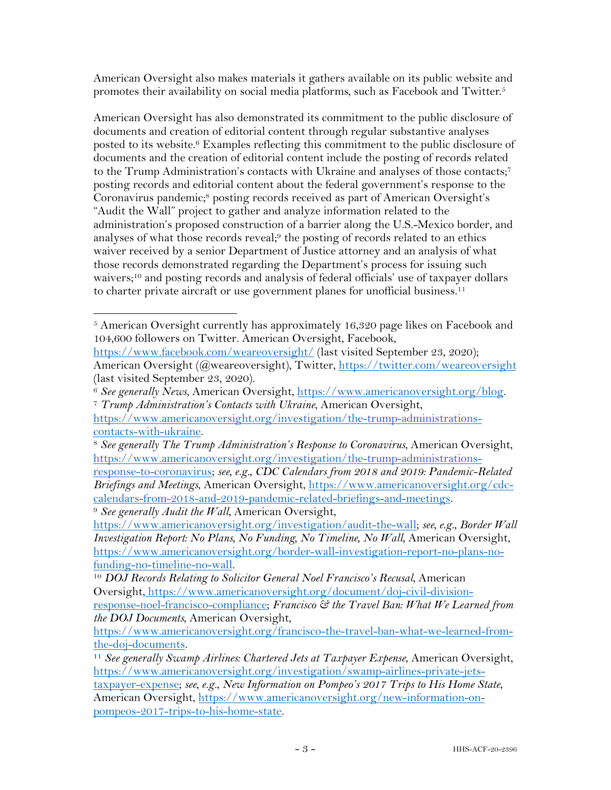American Oversight also makes materials it gathers available on its public website and promotes their availability on social media platforms, such as Facebook and Twitter.5

American Oversight has also demonstrated its commitment to the public disclosure of documents and creation of editorial content through regular substantive analyses posted to its website.6 Examples reflecting this commitment to the public disclosure of documents and the creation of editorial content include the posting of records related to the Trump Administration's contacts with Ukraine and analyses of those contacts;7 posting records and editorial content about the federal government's response to the Coronavirus pandemic;<sup>8</sup> posting records received as part of American Oversight's "Audit the Wall" project to gather and analyze information related to the administration's proposed construction of a barrier along the U.S.-Mexico border, and analyses of what those records reveal;9 the posting of records related to an ethics waiver received by a senior Department of Justice attorney and an analysis of what those records demonstrated regarding the Department's process for issuing such waivers;<sup>10</sup> and posting records and analysis of federal officials' use of taxpayer dollars to charter private aircraft or use government planes for unofficial business.<sup>11</sup>

<sup>5</sup> American Oversight currently has approximately 16,320 page likes on Facebook and 104,600 followers on Twitter. American Oversight, Facebook,

https://www.facebook.com/weareoversight/ (last visited September 23, 2020); American Oversight (@weareoversight), Twitter, https://twitter.com/weareoversight (last visited September 23, 2020).

<sup>6</sup> *See generally News*, American Oversight, https://www.americanoversight.org/blog. 7 *Trump Administration's Contacts with Ukraine*, American Oversight,

https://www.americanoversight.org/investigation/the-trump-administrationscontacts-with-ukraine.

<sup>8</sup> *See generally The Trump Administration's Response to Coronavirus*, American Oversight, https://www.americanoversight.org/investigation/the-trump-administrationsresponse-to-coronavirus; *see, e.g.*, *CDC Calendars from 2018 and 2019: Pandemic-Related Briefings and Meetings*, American Oversight, https://www.americanoversight.org/cdccalendars-from-2018-and-2019-pandemic-related-briefings-and-meetings.

<sup>9</sup> *See generally Audit the Wall*, American Oversight,

https://www.americanoversight.org/investigation/audit-the-wall; *see, e.g.*, *Border Wall Investigation Report: No Plans, No Funding, No Timeline, No Wall*, American Oversight, https://www.americanoversight.org/border-wall-investigation-report-no-plans-nofunding-no-timeline-no-wall. 10 *DOJ Records Relating to Solicitor General Noel Francisco's Recusal*, American

Oversight, https://www.americanoversight.org/document/doj-civil-divisionresponse-noel-francisco-compliance; *Francisco & the Travel Ban: What We Learned from the DOJ Documents*, American Oversight,

https://www.americanoversight.org/francisco-the-travel-ban-what-we-learned-fromthe-doj-documents.

<sup>11</sup> *See generally Swamp Airlines: Chartered Jets at Taxpayer Expense*, American Oversight, https://www.americanoversight.org/investigation/swamp-airlines-private-jetstaxpayer-expense; *see, e.g.*, *New Information on Pompeo's 2017 Trips to His Home State*, American Oversight, https://www.americanoversight.org/new-information-onpompeos-2017-trips-to-his-home-state.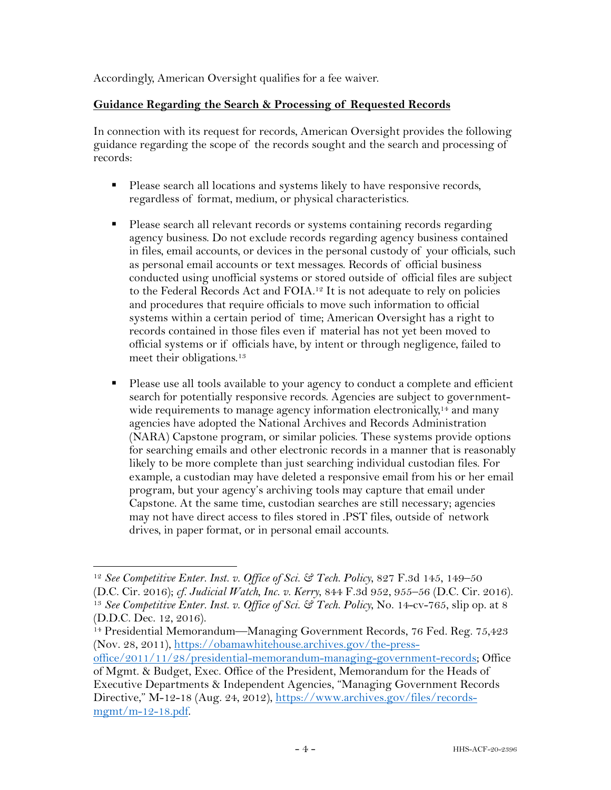Accordingly, American Oversight qualifies for a fee waiver.

#### **Guidance Regarding the Search & Processing of Requested Records**

In connection with its request for records, American Oversight provides the following guidance regarding the scope of the records sought and the search and processing of records:

- § Please search all locations and systems likely to have responsive records, regardless of format, medium, or physical characteristics.
- Please search all relevant records or systems containing records regarding agency business. Do not exclude records regarding agency business contained in files, email accounts, or devices in the personal custody of your officials, such as personal email accounts or text messages. Records of official business conducted using unofficial systems or stored outside of official files are subject to the Federal Records Act and FOIA.<sup>12</sup> It is not adequate to rely on policies and procedures that require officials to move such information to official systems within a certain period of time; American Oversight has a right to records contained in those files even if material has not yet been moved to official systems or if officials have, by intent or through negligence, failed to meet their obligations.<sup>13</sup>
- Please use all tools available to your agency to conduct a complete and efficient search for potentially responsive records. Agencies are subject to governmentwide requirements to manage agency information electronically,<sup>14</sup> and many agencies have adopted the National Archives and Records Administration (NARA) Capstone program, or similar policies. These systems provide options for searching emails and other electronic records in a manner that is reasonably likely to be more complete than just searching individual custodian files. For example, a custodian may have deleted a responsive email from his or her email program, but your agency's archiving tools may capture that email under Capstone. At the same time, custodian searches are still necessary; agencies may not have direct access to files stored in .PST files, outside of network drives, in paper format, or in personal email accounts.

<sup>12</sup> *See Competitive Enter. Inst. v. Office of Sci. & Tech. Policy*, 827 F.3d 145, 149–50 (D.C. Cir. 2016); *cf. Judicial Watch, Inc. v. Kerry*, 844 F.3d 952, 955–56 (D.C. Cir. 2016). 13 *See Competitive Enter. Inst. v. Office of Sci. & Tech. Policy*, No. 14-cv-765, slip op. at 8 (D.D.C. Dec. 12, 2016).

<sup>&</sup>lt;sup>14</sup> Presidential Memorandum—Managing Government Records, 76 Fed. Reg. 75,423 (Nov. 28, 2011), https://obamawhitehouse.archives.gov/the-press-

office/2011/11/28/presidential-memorandum-managing-government-records; Office of Mgmt. & Budget, Exec. Office of the President, Memorandum for the Heads of

Executive Departments & Independent Agencies, "Managing Government Records Directive," M-12-18 (Aug. 24, 2012), https://www.archives.gov/files/records $m$ gmt/m-12-18.pdf